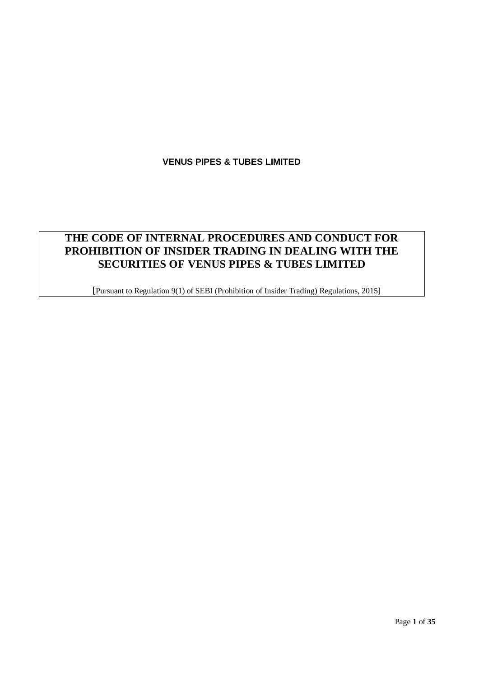# **THE CODE OF INTERNAL PROCEDURES AND CONDUCT FOR PROHIBITION OF INSIDER TRADING IN DEALING WITH THE SECURITIES OF VENUS PIPES & TUBES LIMITED**

[Pursuant to Regulation 9(1) of SEBI (Prohibition of Insider Trading) Regulations, 2015]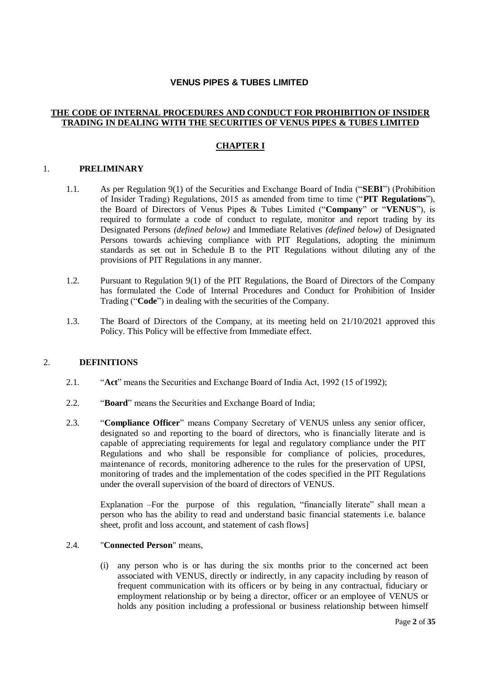#### **THE CODE OF INTERNAL PROCEDURES AND CONDUCT FOR PROHIBITION OF INSIDER TRADING IN DEALING WITH THE SECURITIES OF VENUS PIPES & TUBES LIMITED**

### **CHAPTER I**

#### 1. **PRELIMINARY**

- 1.1. As per Regulation 9(1) of the Securities and Exchange Board of India ("**SEBI**") (Prohibition of Insider Trading) Regulations, 2015 as amended from time to time ("**PIT Regulations**"), the Board of Directors of Venus Pipes & Tubes Limited ("**Company**" or "**VENUS**"), is required to formulate a code of conduct to regulate, monitor and report trading by its Designated Persons *(defined below)* and Immediate Relatives *(defined below)* of Designated Persons towards achieving compliance with PIT Regulations, adopting the minimum standards as set out in Schedule B to the PIT Regulations without diluting any of the provisions of PIT Regulations in any manner.
- 1.2. Pursuant to Regulation 9(1) of the PIT Regulations, the Board of Directors of the Company has formulated the Code of Internal Procedures and Conduct for Prohibition of Insider Trading ("**Code**") in dealing with the securities of the Company.
- 1.3. The Board of Directors of the Company, at its meeting held on 21/10/2021 approved this Policy. This Policy will be effective from Immediate effect.

#### 2. **DEFINITIONS**

- 2.1. "**Act**" means the Securities and Exchange Board of India Act, 1992 (15 of 1992);
- 2.2. "**Board**" means the Securities and Exchange Board of India;
- 2.3. "**Compliance Officer**" means Company Secretary of VENUS unless any senior officer, designated so and reporting to the board of directors, who is financially literate and is capable of appreciating requirements for legal and regulatory compliance under the PIT Regulations and who shall be responsible for compliance of policies, procedures, maintenance of records, monitoring adherence to the rules for the preservation of UPSI, monitoring of trades and the implementation of the codes specified in the PIT Regulations under the overall supervision of the board of directors of VENUS.

Explanation –For the purpose of this regulation, "financially literate" shall mean a person who has the ability to read and understand basic financial statements i.e. balance sheet, profit and loss account, and statement of cash flows]

#### 2.4. "**Connected Person**" means,

(i) any person who is or has during the six months prior to the concerned act been associated with VENUS, directly or indirectly, in any capacity including by reason of frequent communication with its officers or by being in any contractual, fiduciary or employment relationship or by being a director, officer or an employee of VENUS or holds any position including a professional or business relationship between himself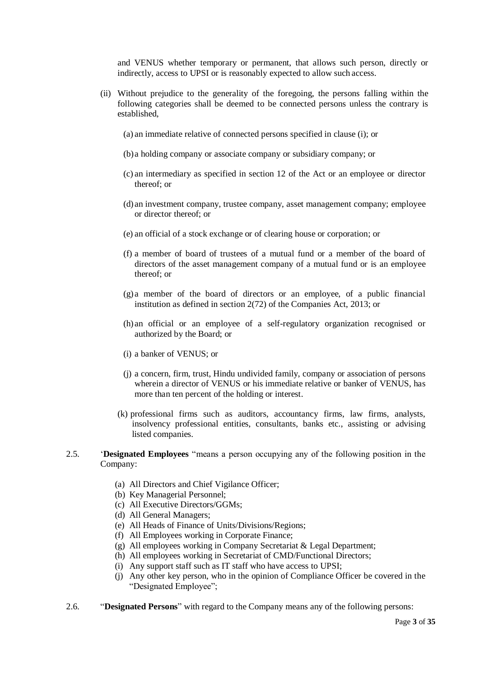and VENUS whether temporary or permanent, that allows such person, directly or indirectly, access to UPSI or is reasonably expected to allow such access.

- (ii) Without prejudice to the generality of the foregoing, the persons falling within the following categories shall be deemed to be connected persons unless the contrary is established,
	- (a) an immediate relative of connected persons specified in clause (i); or
	- (b)a holding company or associate company or subsidiary company; or
	- (c) an intermediary as specified in section 12 of the Act or an employee or director thereof; or
	- (d) an investment company, trustee company, asset management company; employee or director thereof; or
	- (e) an official of a stock exchange or of clearing house or corporation; or
	- (f) a member of board of trustees of a mutual fund or a member of the board of directors of the asset management company of a mutual fund or is an employee thereof; or
	- (g) a member of the board of directors or an employee, of a public financial institution as defined in section 2(72) of the Companies Act, 2013; or
	- (h) an official or an employee of a self-regulatory organization recognised or authorized by the Board; or
	- (i) a banker of VENUS; or
	- (j) a concern, firm, trust, Hindu undivided family, company or association of persons wherein a director of VENUS or his immediate relative or banker of VENUS, has more than ten percent of the holding or interest.
	- (k) professional firms such as auditors, accountancy firms, law firms, analysts, insolvency professional entities, consultants, banks etc., assisting or advising listed companies.
- 2.5. '**Designated Employees** "means a person occupying any of the following position in the Company:
	- (a) All Directors and Chief Vigilance Officer;
	- (b) Key Managerial Personnel;
	- (c) All Executive Directors/GGMs;
	- (d) All General Managers;
	- (e) All Heads of Finance of Units/Divisions/Regions;
	- (f) All Employees working in Corporate Finance;
	- (g) All employees working in Company Secretariat & Legal Department;
	- (h) All employees working in Secretariat of CMD/Functional Directors;
	- (i) Any support staff such as IT staff who have access to UPSI;
	- (j) Any other key person, who in the opinion of Compliance Officer be covered in the "Designated Employee";
- 2.6. "**Designated Persons**" with regard to the Company means any of the following persons: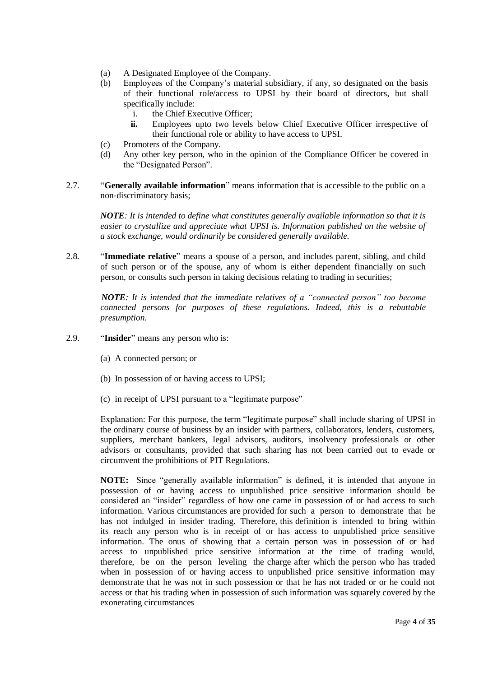- (a) A Designated Employee of the Company.
- (b) Employees of the Company's material subsidiary, if any, so designated on the basis of their functional role/access to UPSI by their board of directors, but shall specifically include:
	- i. the Chief Executive Officer;
	- **ii.** Employees upto two levels below Chief Executive Officer irrespective of their functional role or ability to have access to UPSI.
- (c) Promoters of the Company.
- (d) Any other key person, who in the opinion of the Compliance Officer be covered in the "Designated Person".
- 2.7. "**Generally available information**" means information that is accessible to the public on a non-discriminatory basis;

*NOTE: It is intended to define what constitutes generally available information so that it is easier to crystallize and appreciate what UPSI is. Information published on the website of a stock exchange, would ordinarily be considered generally available.*

2.8. "**Immediate relative**" means a spouse of a person, and includes parent, sibling, and child of such person or of the spouse, any of whom is either dependent financially on such person, or consults such person in taking decisions relating to trading in securities;

*NOTE: It is intended that the immediate relatives of a "connected person" too become connected persons for purposes of these regulations. Indeed, this is a rebuttable presumption.*

- 2.9. "**Insider**" means any person who is:
	- (a) A connected person; or
	- (b) In possession of or having access to UPSI;
	- (c) in receipt of UPSI pursuant to a "legitimate purpose"

Explanation: For this purpose, the term "legitimate purpose" shall include sharing of UPSI in the ordinary course of business by an insider with partners, collaborators, lenders, customers, suppliers, merchant bankers, legal advisors, auditors, insolvency professionals or other advisors or consultants, provided that such sharing has not been carried out to evade or circumvent the prohibitions of PIT Regulations.

**NOTE:** Since "generally available information" is defined, it is intended that anyone in possession of or having access to unpublished price sensitive information should be considered an "insider" regardless of how one came in possession of or had access to such information. Various circumstances are provided for such a person to demonstrate that he has not indulged in insider trading. Therefore, this definition is intended to bring within its reach any person who is in receipt of or has access to unpublished price sensitive information. The onus of showing that a certain person was in possession of or had access to unpublished price sensitive information at the time of trading would, therefore, be on the person leveling the charge after which the person who has traded when in possession of or having access to unpublished price sensitive information may demonstrate that he was not in such possession or that he has not traded or or he could not access or that his trading when in possession of such information was squarely covered by the exonerating circumstances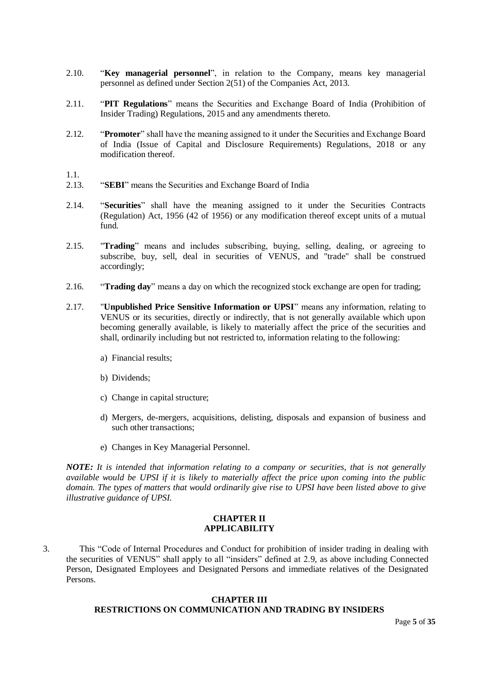- 2.10. "**Key managerial personnel**", in relation to the Company, means key managerial personnel as defined under Section 2(51) of the Companies Act, 2013.
- 2.11. "**PIT Regulations**" means the Securities and Exchange Board of India (Prohibition of Insider Trading) Regulations, 2015 and any amendments thereto.
- 2.12. "**Promoter**" shall have the meaning assigned to it under the Securities and Exchange Board of India (Issue of Capital and Disclosure Requirements) Regulations, 2018 or any modification thereof.
- 1.1.
- 2.13. "**SEBI**" means the Securities and Exchange Board of India
- 2.14. "**Securities**" shall have the meaning assigned to it under the Securities Contracts (Regulation) Act, 1956 (42 of 1956) or any modification thereof except units of a mutual fund.
- 2.15. "**Trading**" means and includes subscribing, buying, selling, dealing, or agreeing to subscribe, buy, sell, deal in securities of VENUS, and "trade" shall be construed accordingly;
- 2.16. "**Trading day**" means a day on which the recognized stock exchange are open for trading;
- 2.17. "**Unpublished Price Sensitive Information or UPSI**" means any information, relating to VENUS or its securities, directly or indirectly, that is not generally available which upon becoming generally available, is likely to materially affect the price of the securities and shall, ordinarily including but not restricted to, information relating to the following:
	- a) Financial results;
	- b) Dividends;
	- c) Change in capital structure;
	- d) Mergers, de-mergers, acquisitions, delisting, disposals and expansion of business and such other transactions;
	- e) Changes in Key Managerial Personnel.

*NOTE: It is intended that information relating to a company or securities, that is not generally available would be UPSI if it is likely to materially affect the price upon coming into the public domain. The types of matters that would ordinarily give rise to UPSI have been listed above to give illustrative guidance of UPSI.*

#### **CHAPTER II APPLICABILITY**

3. This "Code of Internal Procedures and Conduct for prohibition of insider trading in dealing with the securities of VENUS" shall apply to all "insiders" defined at 2.9, as above including Connected Person, Designated Employees and Designated Persons and immediate relatives of the Designated Persons.

#### **CHAPTER III RESTRICTIONS ON COMMUNICATION AND TRADING BY INSIDERS**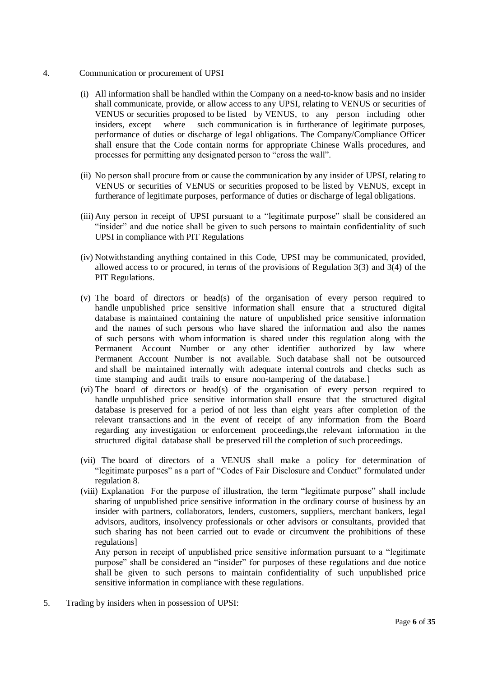- 4. Communication or procurement of UPSI
	- (i) All information shall be handled within the Company on a need-to-know basis and no insider shall communicate, provide, or allow access to any UPSI, relating to VENUS or securities of VENUS or securities proposed to be listed by VENUS, to any person including other insiders, except where such communication is in furtherance of legitimate purposes, performance of duties or discharge of legal obligations. The Company/Compliance Officer shall ensure that the Code contain norms for appropriate Chinese Walls procedures, and processes for permitting any designated person to "cross the wall".
	- (ii) No person shall procure from or cause the communication by any insider of UPSI, relating to VENUS or securities of VENUS or securities proposed to be listed by VENUS, except in furtherance of legitimate purposes, performance of duties or discharge of legal obligations.
	- (iii) Any person in receipt of UPSI pursuant to a "legitimate purpose" shall be considered an "insider" and due notice shall be given to such persons to maintain confidentiality of such UPSI in compliance with PIT Regulations
	- (iv) Notwithstanding anything contained in this Code, UPSI may be communicated, provided, allowed access to or procured, in terms of the provisions of Regulation  $3(3)$  and  $3(4)$  of the PIT Regulations.
	- (v) The board of directors or head(s) of the organisation of every person required to handle unpublished price sensitive information shall ensure that a structured digital database is maintained containing the nature of unpublished price sensitive information and the names of such persons who have shared the information and also the names of such persons with whom information is shared under this regulation along with the Permanent Account Number or any other identifier authorized by law where Permanent Account Number is not available. Such database shall not be outsourced and shall be maintained internally with adequate internal controls and checks such as time stamping and audit trails to ensure non-tampering of the database.]
	- (vi) The board of directors or head(s) of the organisation of every person required to handle unpublished price sensitive information shall ensure that the structured digital database is preserved for a period of not less than eight years after completion of the relevant transactions and in the event of receipt of any information from the Board regarding any investigation or enforcement proceedings,the relevant information in the structured digital database shall be preserved till the completion of such proceedings.
	- (vii) The board of directors of a VENUS shall make a policy for determination of "legitimate purposes" as a part of "Codes of Fair Disclosure and Conduct" formulated under regulation 8.
	- (viii) Explanation For the purpose of illustration, the term "legitimate purpose" shall include sharing of unpublished price sensitive information in the ordinary course of business by an insider with partners, collaborators, lenders, customers, suppliers, merchant bankers, legal advisors, auditors, insolvency professionals or other advisors or consultants, provided that such sharing has not been carried out to evade or circumvent the prohibitions of these regulations]

Any person in receipt of unpublished price sensitive information pursuant to a "legitimate purpose" shall be considered an "insider" for purposes of these regulations and due notice shall be given to such persons to maintain confidentiality of such unpublished price sensitive information in compliance with these regulations.

5. Trading by insiders when in possession of UPSI: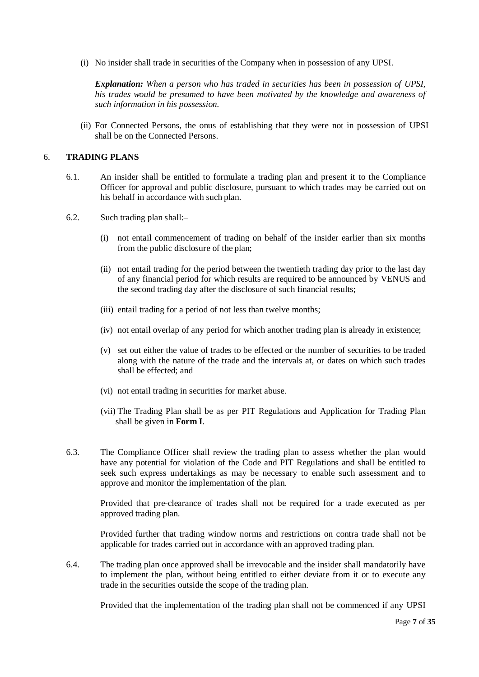(i) No insider shall trade in securities of the Company when in possession of any UPSI.

*Explanation: When a person who has traded in securities has been in possession of UPSI, his trades would be presumed to have been motivated by the knowledge and awareness of such information in his possession.*

(ii) For Connected Persons, the onus of establishing that they were not in possession of UPSI shall be on the Connected Persons.

#### 6. **TRADING PLANS**

- 6.1. An insider shall be entitled to formulate a trading plan and present it to the Compliance Officer for approval and public disclosure, pursuant to which trades may be carried out on his behalf in accordance with such plan.
- 6.2. Such trading plan shall:–
	- (i) not entail commencement of trading on behalf of the insider earlier than six months from the public disclosure of the plan;
	- (ii) not entail trading for the period between the twentieth trading day prior to the last day of any financial period for which results are required to be announced by VENUS and the second trading day after the disclosure of such financial results;
	- (iii) entail trading for a period of not less than twelve months;
	- (iv) not entail overlap of any period for which another trading plan is already in existence;
	- (v) set out either the value of trades to be effected or the number of securities to be traded along with the nature of the trade and the intervals at, or dates on which such trades shall be effected; and
	- (vi) not entail trading in securities for market abuse.
	- (vii) The Trading Plan shall be as per PIT Regulations and Application for Trading Plan shall be given in **Form I**.
- 6.3. The Compliance Officer shall review the trading plan to assess whether the plan would have any potential for violation of the Code and PIT Regulations and shall be entitled to seek such express undertakings as may be necessary to enable such assessment and to approve and monitor the implementation of the plan.

Provided that pre-clearance of trades shall not be required for a trade executed as per approved trading plan.

Provided further that trading window norms and restrictions on contra trade shall not be applicable for trades carried out in accordance with an approved trading plan.

6.4. The trading plan once approved shall be irrevocable and the insider shall mandatorily have to implement the plan, without being entitled to either deviate from it or to execute any trade in the securities outside the scope of the trading plan.

Provided that the implementation of the trading plan shall not be commenced if any UPSI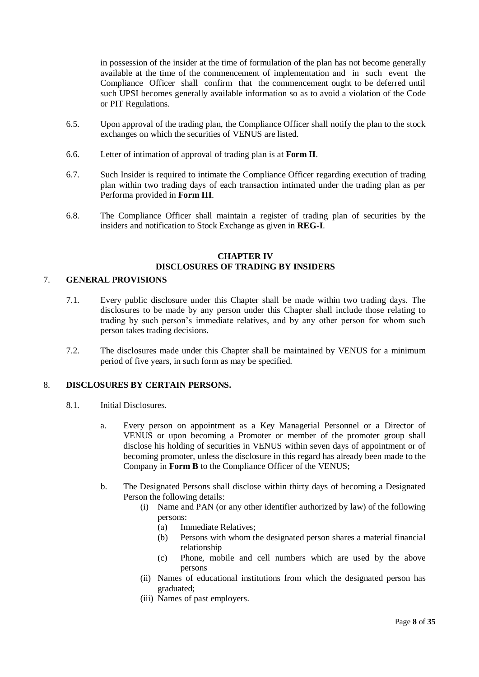in possession of the insider at the time of formulation of the plan has not become generally available at the time of the commencement of implementation and in such event the Compliance Officer shall confirm that the commencement ought to be deferred until such UPSI becomes generally available information so as to avoid a violation of the Code or PIT Regulations.

- 6.5. Upon approval of the trading plan, the Compliance Officer shall notify the plan to the stock exchanges on which the securities of VENUS are listed.
- 6.6. Letter of intimation of approval of trading plan is at **Form II**.
- 6.7. Such Insider is required to intimate the Compliance Officer regarding execution of trading plan within two trading days of each transaction intimated under the trading plan as per Performa provided in **Form III**.
- 6.8. The Compliance Officer shall maintain a register of trading plan of securities by the insiders and notification to Stock Exchange as given in **REG-I**.

#### **CHAPTER IV DISCLOSURES OF TRADING BY INSIDERS**

### 7. **GENERAL PROVISIONS**

- 7.1. Every public disclosure under this Chapter shall be made within two trading days. The disclosures to be made by any person under this Chapter shall include those relating to trading by such person's immediate relatives, and by any other person for whom such person takes trading decisions.
- 7.2. The disclosures made under this Chapter shall be maintained by VENUS for a minimum period of five years, in such form as may be specified.

#### 8. **DISCLOSURES BY CERTAIN PERSONS.**

- 8.1. Initial Disclosures.
	- a. Every person on appointment as a Key Managerial Personnel or a Director of VENUS or upon becoming a Promoter or member of the promoter group shall disclose his holding of securities in VENUS within seven days of appointment or of becoming promoter, unless the disclosure in this regard has already been made to the Company in **Form B** to the Compliance Officer of the VENUS;
	- b. The Designated Persons shall disclose within thirty days of becoming a Designated Person the following details:
		- (i) Name and PAN (or any other identifier authorized by law) of the following persons:
			- (a) Immediate Relatives;
			- (b) Persons with whom the designated person shares a material financial relationship
			- (c) Phone, mobile and cell numbers which are used by the above persons
		- (ii) Names of educational institutions from which the designated person has graduated;
		- (iii) Names of past employers.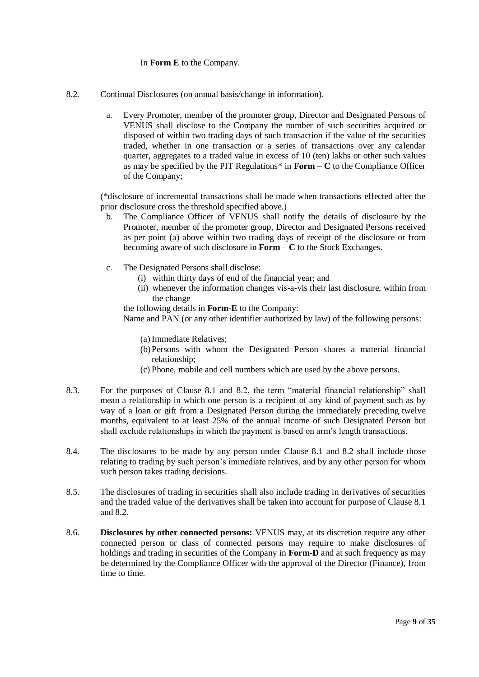#### In **Form E** to the Company.

- 8.2. Continual Disclosures (on annual basis/change in information).
	- a. Every Promoter, member of the promoter group, Director and Designated Persons of VENUS shall disclose to the Company the number of such securities acquired or disposed of within two trading days of such transaction if the value of the securities traded, whether in one transaction or a series of transactions over any calendar quarter, aggregates to a traded value in excess of 10 (ten) lakhs or other such values as may be specified by the PIT Regulations\* in **Form – C** to the Compliance Officer of the Company;

(\*disclosure of incremental transactions shall be made when transactions effected after the prior disclosure cross the threshold specified above.)

- b. The Compliance Officer of VENUS shall notify the details of disclosure by the Promoter, member of the promoter group, Director and Designated Persons received as per point (a) above within two trading days of receipt of the disclosure or from becoming aware of such disclosure in **Form – C** to the Stock Exchanges.
- c. The Designated Persons shall disclose:
	- (i) within thirty days of end of the financial year; and
	- (ii) whenever the information changes vis-a-vis their last disclosure, within from the change

the following details in **Form-E** to the Company:

Name and PAN (or any other identifier authorized by law) of the following persons:

- (a) Immediate Relatives;
- (b)Persons with whom the Designated Person shares a material financial relationship;
- (c) Phone, mobile and cell numbers which are used by the above persons.
- 8.3. For the purposes of Clause 8.1 and 8.2, the term "material financial relationship" shall mean a relationship in which one person is a recipient of any kind of payment such as by way of a loan or gift from a Designated Person during the immediately preceding twelve months, equivalent to at least 25% of the annual income of such Designated Person but shall exclude relationships in which the payment is based on arm's length transactions.
- 8.4. The disclosures to be made by any person under Clause 8.1 and 8.2 shall include those relating to trading by such person's immediate relatives, and by any other person for whom such person takes trading decisions.
- 8.5. The disclosures of trading in securities shall also include trading in derivatives of securities and the traded value of the derivatives shall be taken into account for purpose of Clause 8.1 and 8.2.
- 8.6. **Disclosures by other connected persons:** VENUS may, at its discretion require any other connected person or class of connected persons may require to make disclosures of holdings and trading in securities of the Company in **Form-D** and at such frequency as may be determined by the Compliance Officer with the approval of the Director (Finance), from time to time.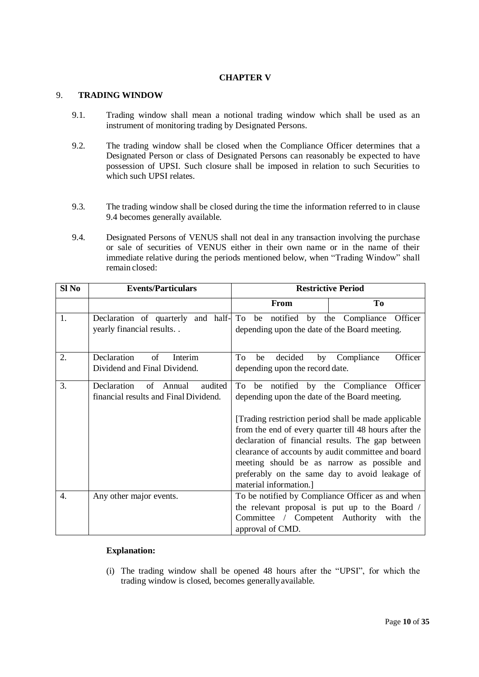#### **CHAPTER V**

#### 9. **TRADING WINDOW**

- 9.1. Trading window shall mean a notional trading window which shall be used as an instrument of monitoring trading by Designated Persons.
- 9.2. The trading window shall be closed when the Compliance Officer determines that a Designated Person or class of Designated Persons can reasonably be expected to have possession of UPSI. Such closure shall be imposed in relation to such Securities to which such UPSI relates.
- 9.3. The trading window shall be closed during the time the information referred to in clause 9.4 becomes generally available.
- 9.4. Designated Persons of VENUS shall not deal in any transaction involving the purchase or sale of securities of VENUS either in their own name or in the name of their immediate relative during the periods mentioned below, when "Trading Window" shall remain closed:

| Sl <sub>No</sub> | <b>Events/Particulars</b>                                                                               |                                                                               | <b>Restrictive Period</b>                                                                                                                                                                                                                                                                                                                                          |
|------------------|---------------------------------------------------------------------------------------------------------|-------------------------------------------------------------------------------|--------------------------------------------------------------------------------------------------------------------------------------------------------------------------------------------------------------------------------------------------------------------------------------------------------------------------------------------------------------------|
|                  |                                                                                                         | From                                                                          | To                                                                                                                                                                                                                                                                                                                                                                 |
| 1.               | Declaration of quarterly and half- To be notified by the Compliance Officer<br>yearly financial results | depending upon the date of the Board meeting.                                 |                                                                                                                                                                                                                                                                                                                                                                    |
| 2.               | Declaration<br>of<br>Interim<br>Dividend and Final Dividend.                                            | To<br>decided<br>by<br>be<br>depending upon the record date.                  | Officer<br>Compliance                                                                                                                                                                                                                                                                                                                                              |
| 3.               | Declaration<br>audited<br>of<br>Annual<br>financial results and Final Dividend.                         | To<br>depending upon the date of the Board meeting.<br>material information.] | be notified by the Compliance Officer<br>[Trading restriction period shall be made applicable<br>from the end of every quarter till 48 hours after the<br>declaration of financial results. The gap between<br>clearance of accounts by audit committee and board<br>meeting should be as narrow as possible and<br>preferably on the same day to avoid leakage of |
| 4.               | Any other major events.                                                                                 | approval of CMD.                                                              | To be notified by Compliance Officer as and when<br>the relevant proposal is put up to the Board /<br>Committee / Competent Authority with the                                                                                                                                                                                                                     |

#### **Explanation:**

(i) The trading window shall be opened 48 hours after the "UPSI", for which the trading window is closed, becomes generallyavailable.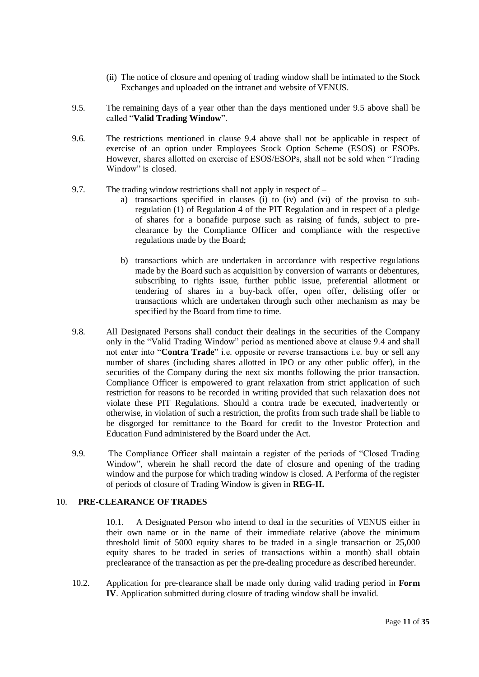- (ii) The notice of closure and opening of trading window shall be intimated to the Stock Exchanges and uploaded on the intranet and website of VENUS.
- 9.5. The remaining days of a year other than the days mentioned under 9.5 above shall be called "**Valid Trading Window**".
- 9.6. The restrictions mentioned in clause 9.4 above shall not be applicable in respect of exercise of an option under Employees Stock Option Scheme (ESOS) or ESOPs. However, shares allotted on exercise of ESOS/ESOPs, shall not be sold when "Trading Window" is closed.
- 9.7. The trading window restrictions shall not apply in respect of
	- a) transactions specified in clauses (i) to (iv) and (vi) of the proviso to subregulation (1) of Regulation 4 of the PIT Regulation and in respect of a pledge of shares for a bonafide purpose such as raising of funds, subject to preclearance by the Compliance Officer and compliance with the respective regulations made by the Board;
	- b) transactions which are undertaken in accordance with respective regulations made by the Board such as acquisition by conversion of warrants or debentures, subscribing to rights issue, further public issue, preferential allotment or tendering of shares in a buy-back offer, open offer, delisting offer or transactions which are undertaken through such other mechanism as may be specified by the Board from time to time.
- 9.8. All Designated Persons shall conduct their dealings in the securities of the Company only in the "Valid Trading Window" period as mentioned above at clause 9.4 and shall not enter into "**Contra Trade**" i.e. opposite or reverse transactions i.e. buy or sell any number of shares (including shares allotted in IPO or any other public offer), in the securities of the Company during the next six months following the prior transaction. Compliance Officer is empowered to grant relaxation from strict application of such restriction for reasons to be recorded in writing provided that such relaxation does not violate these PIT Regulations. Should a contra trade be executed, inadvertently or otherwise, in violation of such a restriction, the profits from such trade shall be liable to be disgorged for remittance to the Board for credit to the Investor Protection and Education Fund administered by the Board under the Act.
- 9.9. The Compliance Officer shall maintain a register of the periods of "Closed Trading Window", wherein he shall record the date of closure and opening of the trading window and the purpose for which trading window is closed. A Performa of the register of periods of closure of Trading Window is given in **REG-II.**

#### 10. **PRE-CLEARANCE OF TRADES**

10.1. A Designated Person who intend to deal in the securities of VENUS either in their own name or in the name of their immediate relative (above the minimum threshold limit of 5000 equity shares to be traded in a single transaction or 25,000 equity shares to be traded in series of transactions within a month) shall obtain preclearance of the transaction as per the pre-dealing procedure as described hereunder.

10.2. Application for pre-clearance shall be made only during valid trading period in **Form IV**. Application submitted during closure of trading window shall be invalid.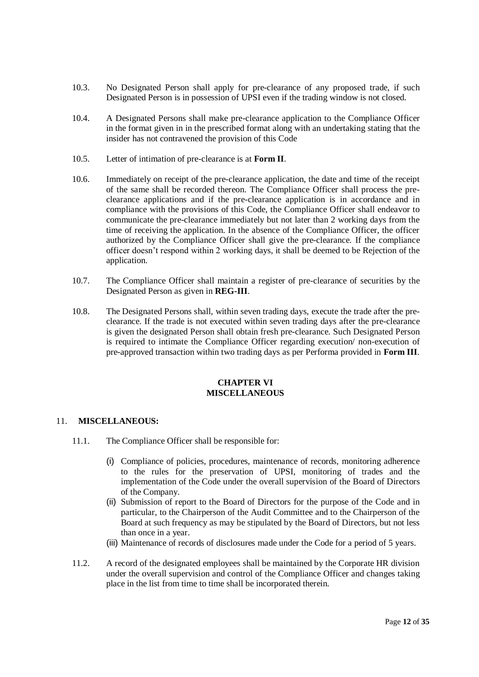- 10.3. No Designated Person shall apply for pre-clearance of any proposed trade, if such Designated Person is in possession of UPSI even if the trading window is not closed.
- 10.4. A Designated Persons shall make pre-clearance application to the Compliance Officer in the format given in in the prescribed format along with an undertaking stating that the insider has not contravened the provision of this Code
- 10.5. Letter of intimation of pre-clearance is at **Form II**.
- 10.6. Immediately on receipt of the pre-clearance application, the date and time of the receipt of the same shall be recorded thereon. The Compliance Officer shall process the preclearance applications and if the pre-clearance application is in accordance and in compliance with the provisions of this Code, the Compliance Officer shall endeavor to communicate the pre-clearance immediately but not later than 2 working days from the time of receiving the application. In the absence of the Compliance Officer, the officer authorized by the Compliance Officer shall give the pre-clearance. If the compliance officer doesn't respond within 2 working days, it shall be deemed to be Rejection of the application.
- 10.7. The Compliance Officer shall maintain a register of pre-clearance of securities by the Designated Person as given in **REG-III**.
- 10.8. The Designated Persons shall, within seven trading days, execute the trade after the preclearance. If the trade is not executed within seven trading days after the pre-clearance is given the designated Person shall obtain fresh pre-clearance. Such Designated Person is required to intimate the Compliance Officer regarding execution/ non-execution of pre-approved transaction within two trading days as per Performa provided in **Form III**.

#### **CHAPTER VI MISCELLANEOUS**

#### 11. **MISCELLANEOUS:**

- 11.1. The Compliance Officer shall be responsible for:
	- (i) Compliance of policies, procedures, maintenance of records, monitoring adherence to the rules for the preservation of UPSI, monitoring of trades and the implementation of the Code under the overall supervision of the Board of Directors of the Company.
	- (ii) Submission of report to the Board of Directors for the purpose of the Code and in particular, to the Chairperson of the Audit Committee and to the Chairperson of the Board at such frequency as may be stipulated by the Board of Directors, but not less than once in a year.
	- (iii) Maintenance of records of disclosures made under the Code for a period of 5 years.
- 11.2. A record of the designated employees shall be maintained by the Corporate HR division under the overall supervision and control of the Compliance Officer and changes taking place in the list from time to time shall be incorporated therein.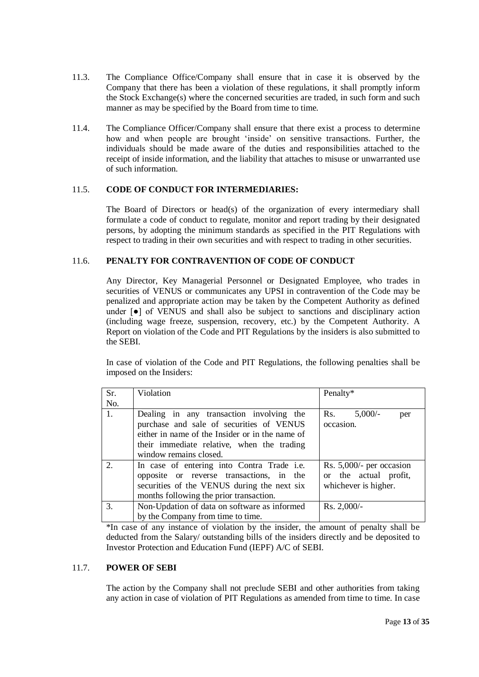- 11.3. The Compliance Office/Company shall ensure that in case it is observed by the Company that there has been a violation of these regulations, it shall promptly inform the Stock Exchange(s) where the concerned securities are traded, in such form and such manner as may be specified by the Board from time to time.
- 11.4. The Compliance Officer/Company shall ensure that there exist a process to determine how and when people are brought 'inside' on sensitive transactions. Further, the individuals should be made aware of the duties and responsibilities attached to the receipt of inside information, and the liability that attaches to misuse or unwarranted use of such information.

#### 11.5. **CODE OF CONDUCT FOR INTERMEDIARIES:**

The Board of Directors or head(s) of the organization of every intermediary shall formulate a code of conduct to regulate, monitor and report trading by their designated persons, by adopting the minimum standards as specified in the PIT Regulations with respect to trading in their own securities and with respect to trading in other securities.

#### 11.6. **PENALTY FOR CONTRAVENTION OF CODE OF CONDUCT**

Any Director, Key Managerial Personnel or Designated Employee, who trades in securities of VENUS or communicates any UPSI in contravention of the Code may be penalized and appropriate action may be taken by the Competent Authority as defined under  $\lceil \bullet \rceil$  of VENUS and shall also be subject to sanctions and disciplinary action (including wage freeze, suspension, recovery, etc.) by the Competent Authority. A Report on violation of the Code and PIT Regulations by the insiders is also submitted to the SEBI.

In case of violation of the Code and PIT Regulations, the following penalties shall be imposed on the Insiders:

| Sr. | Violation                                                                                                                                                                                                       | Penalty*                                                                    |
|-----|-----------------------------------------------------------------------------------------------------------------------------------------------------------------------------------------------------------------|-----------------------------------------------------------------------------|
| No. |                                                                                                                                                                                                                 |                                                                             |
| 1.  | Dealing in any transaction involving the<br>purchase and sale of securities of VENUS<br>either in name of the Insider or in the name of<br>their immediate relative, when the trading<br>window remains closed. | $5,000/-$<br>Rs.<br>per<br>occasion.                                        |
| 2.  | In case of entering into Contra Trade i.e.<br>opposite or reverse transactions, in the<br>securities of the VENUS during the next six<br>months following the prior transaction.                                | Rs. $5,000/-$ per occasion<br>or the actual profit,<br>whichever is higher. |
| 3.  | Non-Updation of data on software as informed                                                                                                                                                                    | $Rs. 2,000/-$                                                               |
|     | by the Company from time to time.                                                                                                                                                                               |                                                                             |

\*In case of any instance of violation by the insider, the amount of penalty shall be deducted from the Salary/ outstanding bills of the insiders directly and be deposited to Investor Protection and Education Fund (IEPF) A/C of SEBI.

#### 11.7. **POWER OF SEBI**

The action by the Company shall not preclude SEBI and other authorities from taking any action in case of violation of PIT Regulations as amended from time to time. In case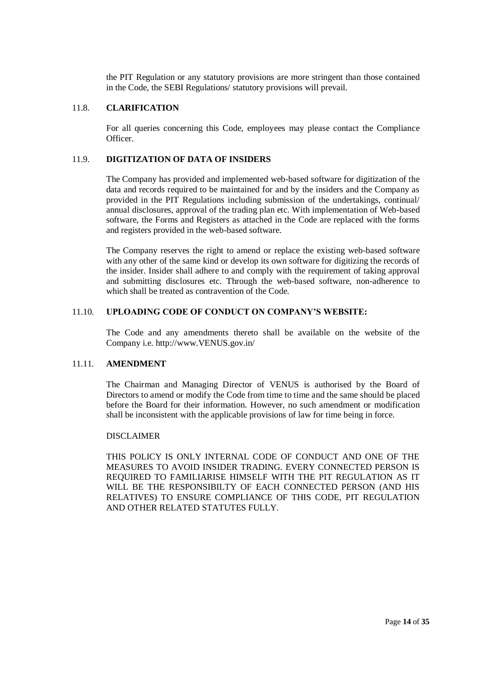the PIT Regulation or any statutory provisions are more stringent than those contained in the Code, the SEBI Regulations/ statutory provisions will prevail.

#### 11.8. **CLARIFICATION**

For all queries concerning this Code, employees may please contact the Compliance Officer.

#### 11.9. **DIGITIZATION OF DATA OF INSIDERS**

The Company has provided and implemented web-based software for digitization of the data and records required to be maintained for and by the insiders and the Company as provided in the PIT Regulations including submission of the undertakings, continual/ annual disclosures, approval of the trading plan etc. With implementation of Web-based software, the Forms and Registers as attached in the Code are replaced with the forms and registers provided in the web-based software.

The Company reserves the right to amend or replace the existing web-based software with any other of the same kind or develop its own software for digitizing the records of the insider. Insider shall adhere to and comply with the requirement of taking approval and submitting disclosures etc. Through the web-based software, non-adherence to which shall be treated as contravention of the Code.

#### 11.10. **UPLOADING CODE OF CONDUCT ON COMPANY'S WEBSITE:**

The Code and any amendments thereto shall be available on the website of the Company i.e. http://www.VENUS.gov.in/

#### 11.11. **AMENDMENT**

The Chairman and Managing Director of VENUS is authorised by the Board of Directors to amend or modify the Code from time to time and the same should be placed before the Board for their information. However, no such amendment or modification shall be inconsistent with the applicable provisions of law for time being in force.

#### DISCLAIMER

THIS POLICY IS ONLY INTERNAL CODE OF CONDUCT AND ONE OF THE MEASURES TO AVOID INSIDER TRADING. EVERY CONNECTED PERSON IS REQUIRED TO FAMILIARISE HIMSELF WITH THE PIT REGULATION AS IT WILL BE THE RESPONSIBILTY OF EACH CONNECTED PERSON (AND HIS RELATIVES) TO ENSURE COMPLIANCE OF THIS CODE, PIT REGULATION AND OTHER RELATED STATUTES FULLY.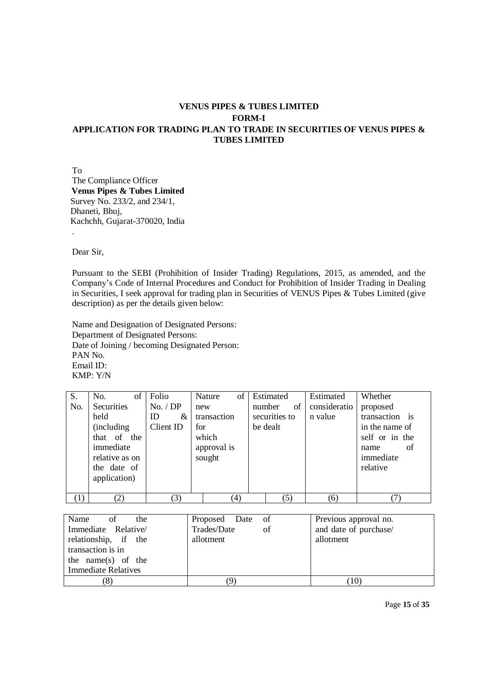## **VENUS PIPES & TUBES LIMITED FORM-I APPLICATION FOR TRADING PLAN TO TRADE IN SECURITIES OF VENUS PIPES & TUBES LIMITED**

To The Compliance Officer  **Venus Pipes & Tubes Limited** Survey No. 233/2, and 234/1, Dhaneti, Bhuj, Kachchh, Gujarat-370020, India

Dear Sir,

.

Pursuant to the SEBI (Prohibition of Insider Trading) Regulations, 2015, as amended, and the Company's Code of Internal Procedures and Conduct for Prohibition of Insider Trading in Dealing in Securities, I seek approval for trading plan in Securities of VENUS Pipes & Tubes Limited (give description) as per the details given below:

Name and Designation of Designated Persons: Department of Designated Persons: Date of Joining / becoming Designated Person: PAN No. Email ID: KMP: Y/N

| S.  | No.<br>of          | Folio     | of<br>Nature | Estimated     | Estimated    | Whether        |
|-----|--------------------|-----------|--------------|---------------|--------------|----------------|
| No. | Securities         | No. / DP  | new          | of<br>number  | consideratio | proposed       |
|     | held               | ID<br>&   | transaction  | securities to | n value      | transaction is |
|     | <i>(including)</i> | Client ID | for          | be dealt      |              | in the name of |
|     | that of the        |           | which        |               |              | self or in the |
|     | immediate          |           | approval is  |               |              | of<br>name     |
|     | relative as on     |           | sought       |               |              | immediate      |
|     | the date of        |           |              |               |              | relative       |
|     | application)       |           |              |               |              |                |
|     |                    |           |              |               |              |                |
| (1) | (2)                | (3)       | (4)          | (5)           | (6)          |                |

| Name<br><sub>of</sub><br>the | Proposed Date of  | Previous approval no. |
|------------------------------|-------------------|-----------------------|
| Immediate Relative/          | of<br>Trades/Date | and date of purchase/ |
| relationship, if the         | allotment         | allotment             |
| transaction is in            |                   |                       |
| the name(s) of the           |                   |                       |
| <b>Immediate Relatives</b>   |                   |                       |
| (8)                          |                   | 10                    |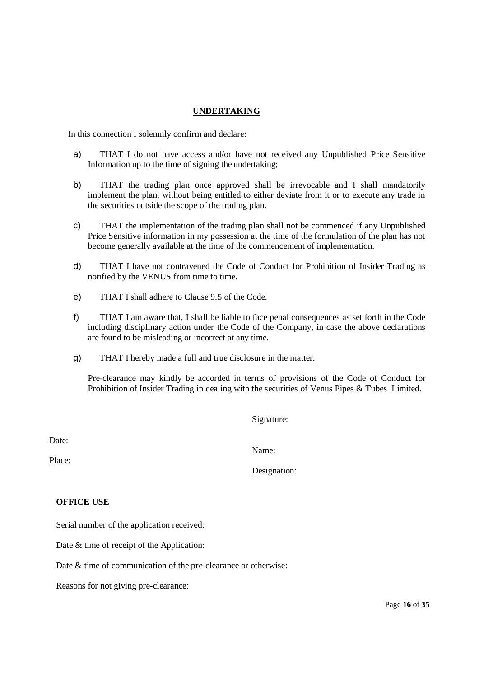#### **UNDERTAKING**

In this connection I solemnly confirm and declare:

- a) THAT I do not have access and/or have not received any Unpublished Price Sensitive Information up to the time of signing the undertaking;
- b) THAT the trading plan once approved shall be irrevocable and I shall mandatorily implement the plan, without being entitled to either deviate from it or to execute any trade in the securities outside the scope of the trading plan.
- c) THAT the implementation of the trading plan shall not be commenced if any Unpublished Price Sensitive information in my possession at the time of the formulation of the plan has not become generally available at the time of the commencement of implementation.
- d) THAT I have not contravened the Code of Conduct for Prohibition of Insider Trading as notified by the VENUS from time to time.
- e) THAT I shall adhere to Clause 9.5 of the Code.
- f) THAT I am aware that, I shall be liable to face penal consequences as set forth in the Code including disciplinary action under the Code of the Company, in case the above declarations are found to be misleading or incorrect at any time.
- g) THAT I hereby made a full and true disclosure in the matter.

Pre-clearance may kindly be accorded in terms of provisions of the Code of Conduct for Prohibition of Insider Trading in dealing with the securities of Venus Pipes & Tubes Limited.

Signature:

Date:

Name:

Designation:

Place:

#### **OFFICE USE**

Serial number of the application received:

Date  $&$  time of receipt of the Application:

Date & time of communication of the pre-clearance or otherwise:

Reasons for not giving pre-clearance: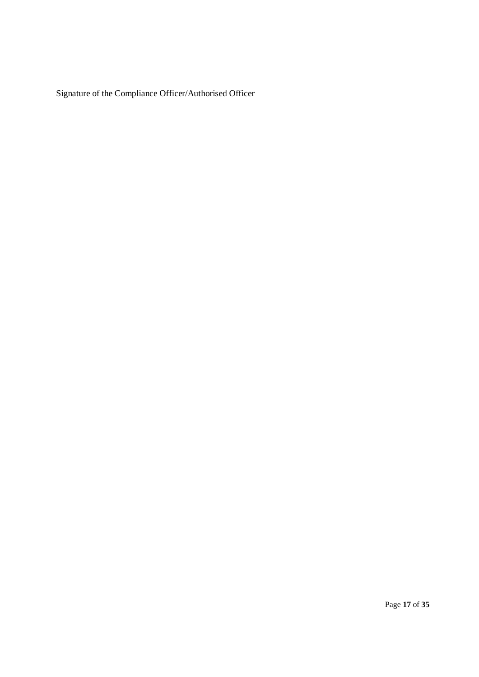Signature of the Compliance Officer/Authorised Officer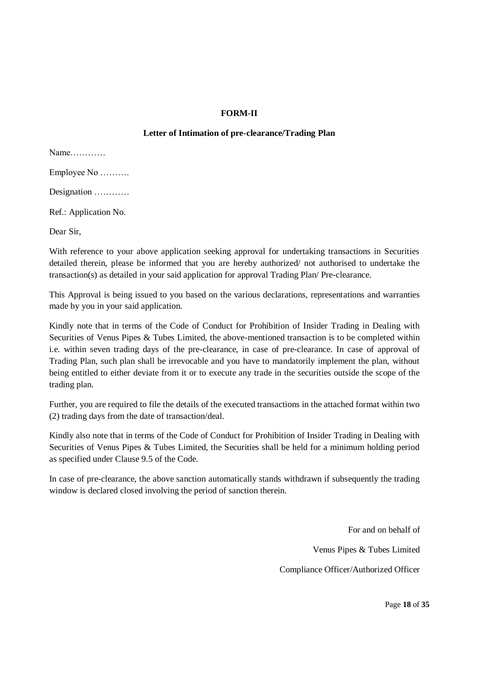#### **FORM-II**

#### **Letter of Intimation of pre-clearance/Trading Plan**

Name………… Employee No ………. Designation ………… Ref.: Application No.

Dear Sir,

With reference to your above application seeking approval for undertaking transactions in Securities detailed therein, please be informed that you are hereby authorized/ not authorised to undertake the transaction(s) as detailed in your said application for approval Trading Plan/ Pre-clearance.

This Approval is being issued to you based on the various declarations, representations and warranties made by you in your said application.

Kindly note that in terms of the Code of Conduct for Prohibition of Insider Trading in Dealing with Securities of Venus Pipes & Tubes Limited, the above-mentioned transaction is to be completed within i.e. within seven trading days of the pre-clearance, in case of pre-clearance. In case of approval of Trading Plan, such plan shall be irrevocable and you have to mandatorily implement the plan, without being entitled to either deviate from it or to execute any trade in the securities outside the scope of the trading plan.

Further, you are required to file the details of the executed transactions in the attached format within two (2) trading days from the date of transaction/deal.

Kindly also note that in terms of the Code of Conduct for Prohibition of Insider Trading in Dealing with Securities of Venus Pipes & Tubes Limited, the Securities shall be held for a minimum holding period as specified under Clause 9.5 of the Code.

In case of pre-clearance, the above sanction automatically stands withdrawn if subsequently the trading window is declared closed involving the period of sanction therein.

> For and on behalf of Venus Pipes & Tubes Limited Compliance Officer/Authorized Officer

> > Page **18** of **35**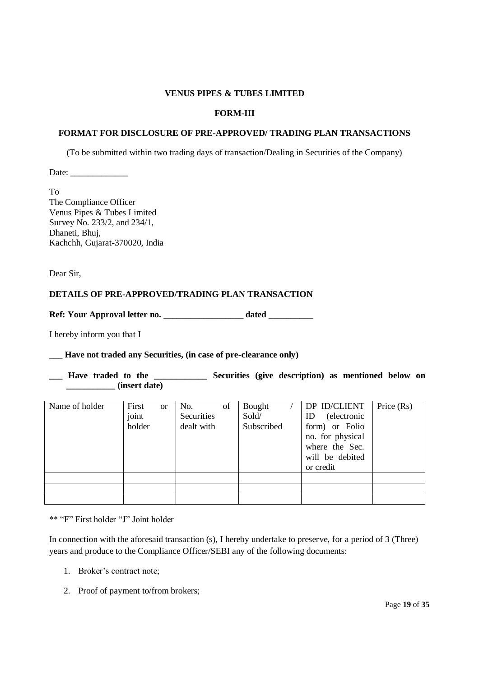#### **FORM-III**

#### **FORMAT FOR DISCLOSURE OF PRE-APPROVED/ TRADING PLAN TRANSACTIONS**

(To be submitted within two trading days of transaction/Dealing in Securities of the Company)

Date: \_\_\_\_\_\_\_\_\_\_\_\_\_

To The Compliance Officer Venus Pipes & Tubes Limited Survey No. 233/2, and 234/1, Dhaneti, Bhuj, Kachchh, Gujarat-370020, India

Dear Sir,

#### **DETAILS OF PRE-APPROVED/TRADING PLAN TRANSACTION**

**Ref: Your Approval letter no. \_\_\_\_\_\_\_\_\_\_\_\_\_\_\_\_\_\_ dated \_\_\_\_\_\_\_\_\_\_**

I hereby inform you that I

\_\_\_ **Have not traded any Securities, (in case of pre-clearance only)**

**\_\_\_ Have traded to the \_\_\_\_\_\_\_\_\_\_\_\_ Securities (give description) as mentioned below on \_\_\_\_\_\_\_\_\_\_\_ (insert date)**

| Name of holder | First<br><sub>or</sub><br>joint | of<br>No.<br>Securities | Bought<br>Sold/ | DP ID/CLIENT<br>(electronic<br>ID                    | Price $(Rs)$ |
|----------------|---------------------------------|-------------------------|-----------------|------------------------------------------------------|--------------|
|                | holder                          | dealt with              | Subscribed      | form) or Folio<br>no. for physical<br>where the Sec. |              |
|                |                                 |                         |                 | will be debited<br>or credit                         |              |
|                |                                 |                         |                 |                                                      |              |
|                |                                 |                         |                 |                                                      |              |
|                |                                 |                         |                 |                                                      |              |

\*\* "F" First holder "J" Joint holder

In connection with the aforesaid transaction (s), I hereby undertake to preserve, for a period of 3 (Three) years and produce to the Compliance Officer/SEBI any of the following documents:

- 1. Broker's contract note;
- 2. Proof of payment to/from brokers;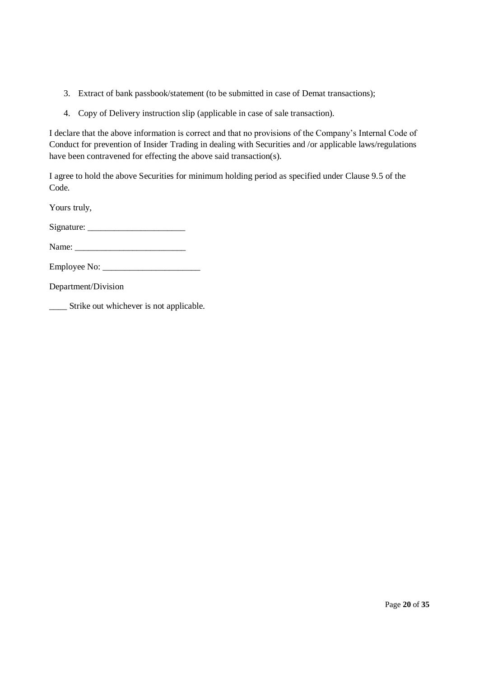- 3. Extract of bank passbook/statement (to be submitted in case of Demat transactions);
- 4. Copy of Delivery instruction slip (applicable in case of sale transaction).

I declare that the above information is correct and that no provisions of the Company's Internal Code of Conduct for prevention of Insider Trading in dealing with Securities and /or applicable laws/regulations have been contravened for effecting the above said transaction(s).

I agree to hold the above Securities for minimum holding period as specified under Clause 9.5 of the Code.

Yours truly,

Signature: \_\_\_\_\_\_\_\_\_\_\_\_\_\_\_\_\_\_\_\_\_\_

Name: \_\_\_\_\_\_\_\_\_\_\_\_\_\_\_\_\_\_\_\_\_\_\_\_\_

Employee No: \_\_\_\_\_\_\_\_\_\_\_\_\_\_\_\_\_\_\_\_\_\_

Department/Division

\_\_\_\_ Strike out whichever is not applicable.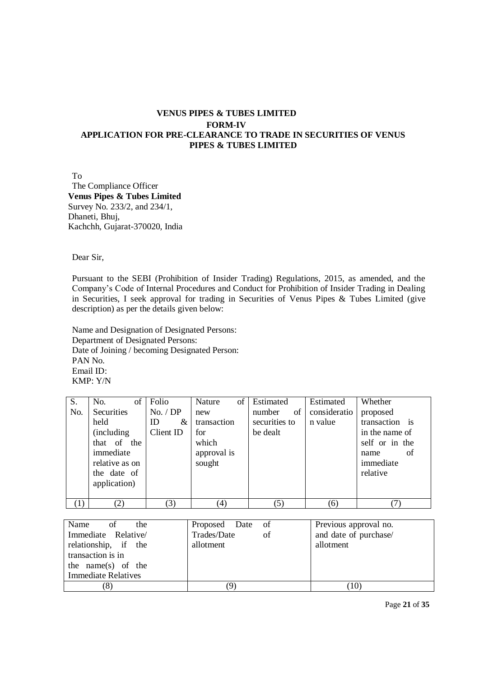### **VENUS PIPES & TUBES LIMITED FORM-IV APPLICATION FOR PRE-CLEARANCE TO TRADE IN SECURITIES OF VENUS PIPES & TUBES LIMITED**

To The Compliance Officer **Venus Pipes & Tubes Limited** Survey No. 233/2, and 234/1, Dhaneti, Bhuj, Kachchh, Gujarat-370020, India

Dear Sir,

Pursuant to the SEBI (Prohibition of Insider Trading) Regulations, 2015, as amended, and the Company's Code of Internal Procedures and Conduct for Prohibition of Insider Trading in Dealing in Securities, I seek approval for trading in Securities of Venus Pipes & Tubes Limited (give description) as per the details given below:

Name and Designation of Designated Persons: Department of Designated Persons: Date of Joining / becoming Designated Person: PAN No. Email ID: KMP: Y/N

| S.  | of<br>No.          | Folio     | $\sigma$<br>Nature | Estimated     | Estimated    | Whether        |
|-----|--------------------|-----------|--------------------|---------------|--------------|----------------|
| No. | <b>Securities</b>  | No. / DP  | new                | of<br>number  | consideratio | proposed       |
|     | held               | ID<br>&   | transaction        | securities to | n value      | transaction is |
|     | <i>(including)</i> | Client ID | for                | be dealt      |              | in the name of |
|     | that of the        |           | which              |               |              | self or in the |
|     | immediate          |           | approval is        |               |              | of<br>name     |
|     | relative as on     |           | sought             |               |              | immediate      |
|     | the date of        |           |                    |               |              | relative       |
|     | application)       |           |                    |               |              |                |
|     |                    |           |                    |               |              |                |
| (1) | (2)                | (3)       | (4)                | (5)           | (6)          |                |

| Name<br>of<br>the          | Proposed Date of  | Previous approval no. |
|----------------------------|-------------------|-----------------------|
| Immediate Relative/        | Trades/Date<br>of | and date of purchase/ |
| relationship, if the       | allotment         | allotment             |
| transaction is in          |                   |                       |
| the name(s) of the         |                   |                       |
| <b>Immediate Relatives</b> |                   |                       |
| (8)                        |                   | $10^{\circ}$          |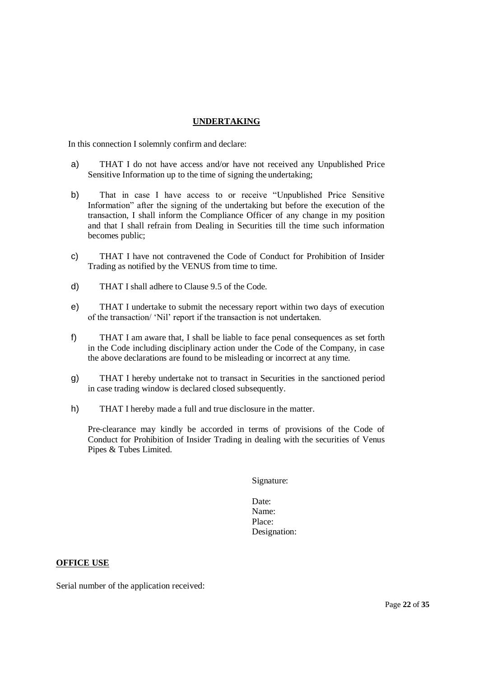#### **UNDERTAKING**

In this connection I solemnly confirm and declare:

- a) THAT I do not have access and/or have not received any Unpublished Price Sensitive Information up to the time of signing the undertaking;
- b) That in case I have access to or receive "Unpublished Price Sensitive Information" after the signing of the undertaking but before the execution of the transaction, I shall inform the Compliance Officer of any change in my position and that I shall refrain from Dealing in Securities till the time such information becomes public;
- c) THAT I have not contravened the Code of Conduct for Prohibition of Insider Trading as notified by the VENUS from time to time.
- d) THAT I shall adhere to Clause 9.5 of the Code.
- e) THAT I undertake to submit the necessary report within two days of execution of the transaction/ 'Nil' report if the transaction is not undertaken.
- f) THAT I am aware that, I shall be liable to face penal consequences as set forth in the Code including disciplinary action under the Code of the Company, in case the above declarations are found to be misleading or incorrect at any time.
- g) THAT I hereby undertake not to transact in Securities in the sanctioned period in case trading window is declared closed subsequently.
- h) THAT I hereby made a full and true disclosure in the matter.

Pre-clearance may kindly be accorded in terms of provisions of the Code of Conduct for Prohibition of Insider Trading in dealing with the securities of Venus Pipes & Tubes Limited.

Signature:

Date: Name: Place: Designation:

#### **OFFICE USE**

Serial number of the application received: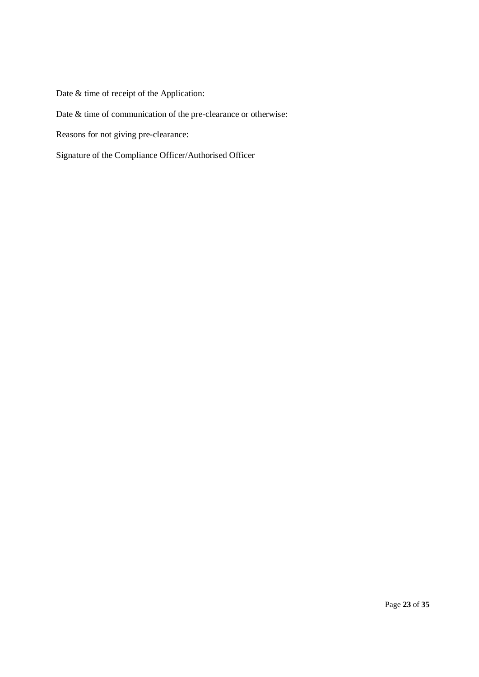Date & time of receipt of the Application:

# Date & time of communication of the pre-clearance or otherwise:

Reasons for not giving pre-clearance:

Signature of the Compliance Officer/Authorised Officer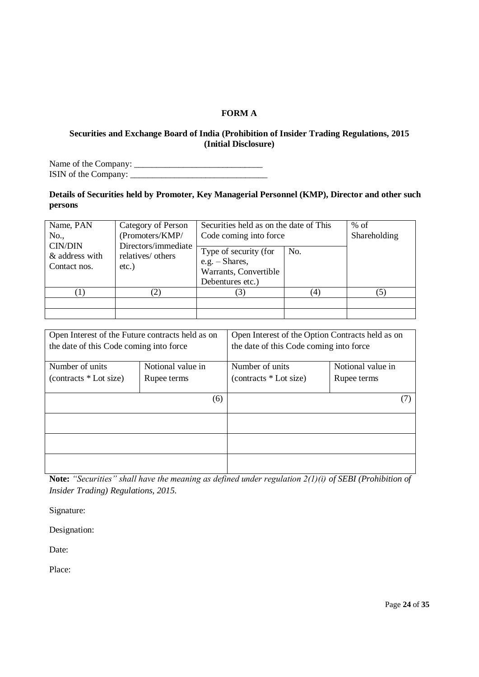### **FORM A**

#### **Securities and Exchange Board of India (Prohibition of Insider Trading Regulations, 2015 (Initial Disclosure)**

Name of the Company: \_\_\_\_\_\_\_\_\_\_\_\_\_\_\_\_\_\_\_\_\_\_\_\_\_\_\_\_\_ ISIN of the Company: \_\_\_\_\_\_\_\_\_\_\_\_\_\_\_\_\_\_\_\_\_\_\_\_\_\_\_\_\_\_\_

### **Details of Securities held by Promoter, Key Managerial Personnel (KMP), Director and other such persons**

| Name, PAN<br>No.,                                | Category of Person<br>(Promoters/KMP/                | Securities held as on the date of This<br>Code coming into force                       | $%$ of<br>Shareholding |     |
|--------------------------------------------------|------------------------------------------------------|----------------------------------------------------------------------------------------|------------------------|-----|
| <b>CIN/DIN</b><br>& address with<br>Contact nos. | Directors/immediate<br>relatives/ others<br>$etc.$ ) | Type of security (for<br>e.g. $-$ Shares,<br>Warrants, Convertible<br>Debentures etc.) | No.                    |     |
| w                                                | $\left( 2\right)$                                    | $\mathfrak{Z}$                                                                         | (4)                    | (5) |
|                                                  |                                                      |                                                                                        |                        |     |

| Open Interest of the Future contracts held as on |                   | Open Interest of the Option Contracts held as on |                   |  |  |  |
|--------------------------------------------------|-------------------|--------------------------------------------------|-------------------|--|--|--|
|                                                  |                   |                                                  |                   |  |  |  |
| the date of this Code coming into force          |                   | the date of this Code coming into force          |                   |  |  |  |
|                                                  |                   |                                                  |                   |  |  |  |
| Number of units                                  | Notional value in | Number of units                                  | Notional value in |  |  |  |
| (contracts * Lot size)                           | Rupee terms       | (contracts * Lot size)                           | Rupee terms       |  |  |  |
|                                                  |                   |                                                  |                   |  |  |  |
|                                                  | (6)               |                                                  |                   |  |  |  |
|                                                  |                   |                                                  |                   |  |  |  |
|                                                  |                   |                                                  |                   |  |  |  |
|                                                  |                   |                                                  |                   |  |  |  |
|                                                  |                   |                                                  |                   |  |  |  |
|                                                  |                   |                                                  |                   |  |  |  |
|                                                  |                   |                                                  |                   |  |  |  |
|                                                  |                   |                                                  |                   |  |  |  |

**Note:** *"Securities" shall have the meaning as defined under regulation 2(1)(i) of SEBI (Prohibition of Insider Trading) Regulations, 2015.*

Signature:

Designation:

Date:

Place: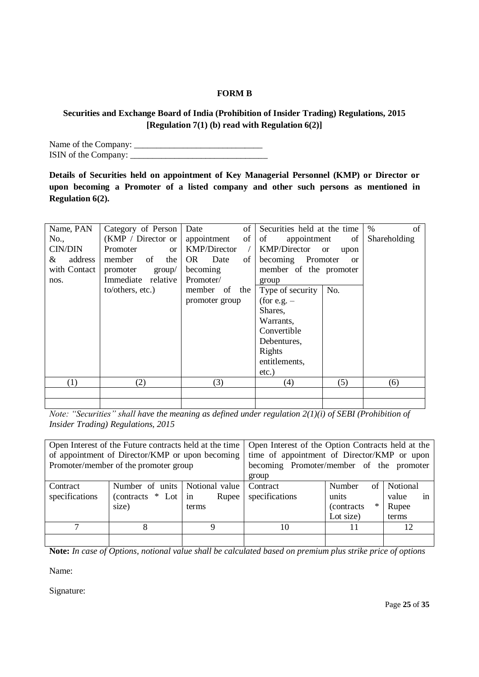### **FORM B**

### **Securities and Exchange Board of India (Prohibition of Insider Trading) Regulations, 2015 [Regulation 7(1) (b) read with Regulation 6(2)]**

Name of the Company: \_\_\_\_\_\_\_\_\_\_\_\_\_\_\_\_\_\_\_\_\_\_\_\_\_\_\_\_\_ ISIN of the Company: \_\_\_\_\_\_\_\_\_\_\_\_\_\_\_\_\_\_\_\_\_\_\_\_\_\_\_\_\_\_\_

**Details of Securities held on appointment of Key Managerial Personnel (KMP) or Director or upon becoming a Promoter of a listed company and other such persons as mentioned in Regulation 6(2).**

| Name, PAN<br>No.,<br><b>CIN/DIN</b><br>address<br>&<br>with Contact | Category of Person<br>(KMP / Director or)<br>Promoter<br><sub>or</sub><br>member of<br>the<br>promoter<br>group/ | of<br>Date<br>of  <br>appointment<br><b>KMP/Director</b><br>OR Date<br>of<br>becoming | Securities held at the time<br>of<br>appointment<br>of<br><b>KMP/Director</b><br><sub>or</sub><br>upon<br>becoming Promoter<br><sub>or</sub><br>member of the promoter | $\%$<br>of<br>Shareholding |
|---------------------------------------------------------------------|------------------------------------------------------------------------------------------------------------------|---------------------------------------------------------------------------------------|------------------------------------------------------------------------------------------------------------------------------------------------------------------------|----------------------------|
| nos.                                                                | Immediate relative<br>to/others, etc.)                                                                           | Promoter/<br>member of the<br>promoter group                                          | group<br>No.<br>Type of security<br>(for e.g. $-$<br>Shares,<br>Warrants,<br>Convertible<br>Debentures,<br>Rights<br>entitlements,<br>$etc.$ )                         |                            |
| (1)                                                                 | (2)                                                                                                              | (3)                                                                                   | (4)<br>(5)                                                                                                                                                             | (6)                        |
|                                                                     |                                                                                                                  |                                                                                       |                                                                                                                                                                        |                            |

*Note: "Securities" shall have the meaning as defined under regulation 2(1)(i) of SEBI (Prohibition of Insider Trading) Regulations, 2015*

|                            | Open Interest of the Future contracts held at the time<br>of appointment of Director/KMP or upon becoming<br>Promoter/member of the promoter group |                                        | Open Interest of the Option Contracts held at the<br>time of appointment of Director/KMP or upon<br>becoming Promoter/member of the promoter<br>group |                                                             |                                           |  |
|----------------------------|----------------------------------------------------------------------------------------------------------------------------------------------------|----------------------------------------|-------------------------------------------------------------------------------------------------------------------------------------------------------|-------------------------------------------------------------|-------------------------------------------|--|
| Contract<br>specifications | Number of units<br>$(contrast * Lot)$<br>size)                                                                                                     | Notional value<br>Rupee<br>in<br>terms | Contract<br>specifications                                                                                                                            | Number<br>of<br>units<br>$\ast$<br>(contracts)<br>Lot size) | Notional<br>value<br>1n<br>Rupee<br>terms |  |
|                            |                                                                                                                                                    | a                                      | 10                                                                                                                                                    |                                                             | 12                                        |  |
|                            |                                                                                                                                                    |                                        |                                                                                                                                                       |                                                             |                                           |  |

**Note:** *In case of Options, notional value shall be calculated based on premium plus strike price of options*

Name:

Signature: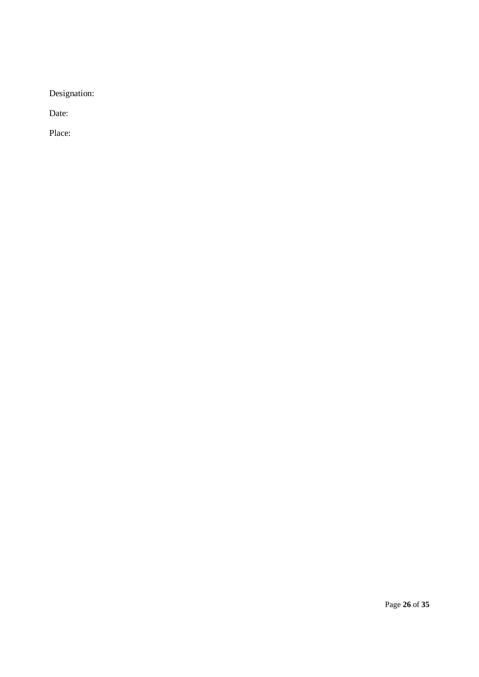Designation:

Date:

Place: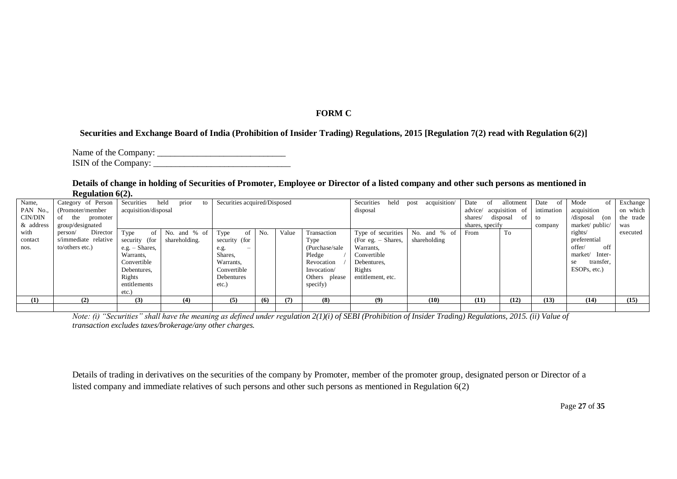### **FORM C**

#### **Securities and Exchange Board of India (Prohibition of Insider Trading) Regulations, 2015 [Regulation 7(2) read with Regulation 6(2)]**

Name of the Company: \_\_\_\_\_\_\_\_\_\_\_\_\_\_\_\_\_\_\_\_\_\_\_\_\_\_\_\_\_ ISIN of the Company:

#### **Details of change in holding of Securities of Promoter, Employee or Director of a listed company and other such persons as mentioned in Regulation 6(2).**

| Name,     | Category of Person   | Securities           | prior<br>held<br>to | Securities acquired/Disposed     |     |       |                 | Securities<br>held    | acquisition/<br>post | Date<br>-of            | allotment        | Date<br>of | Mode              | Exchange  |
|-----------|----------------------|----------------------|---------------------|----------------------------------|-----|-------|-----------------|-----------------------|----------------------|------------------------|------------------|------------|-------------------|-----------|
| PAN No.,  | (Promoter/member     | acquisition/disposal |                     |                                  |     |       |                 | disposal              |                      | advice/ acquisition of |                  | intimation | acquisition       | on which  |
| CIN/DIN   | of<br>the promoter   |                      |                     |                                  |     |       |                 |                       |                      | shares/                | of 1<br>disposal | to         | /disposal<br>(on  | the trade |
| & address | group/designated     |                      |                     |                                  |     |       |                 |                       |                      | shares, specify        |                  | company    | market/public/    | was       |
| with      | Director<br>person/  | Type<br>-of          | No. and % of        | Type<br>-of                      | No. | Value | Transaction     | Type of securities    | No. and % of         | From                   | To               |            | rights/           | executed  |
| contact   | s/immediate relative | security (for        | shareholding.       | security (for                    |     |       | Type            | $(For e.g. - Shares,$ | shareholding         |                        |                  |            | preferential      |           |
| nos.      | to/others etc.)      | e.g. $-$ Shares,     |                     | e.g.<br>$\overline{\phantom{a}}$ |     |       | (Purchase/sale) | Warrants,             |                      |                        |                  |            | off<br>offer/     |           |
|           |                      | Warrants.            |                     | Shares,                          |     |       | Pledge          | Convertible           |                      |                        |                  |            | market/<br>Inter- |           |
|           |                      | Convertible          |                     | Warrants,                        |     |       | Revocation      | Debentures,           |                      |                        |                  |            | transfer,<br>se   |           |
|           |                      | Debentures.          |                     | Convertible                      |     |       | Invocation/     | Rights                |                      |                        |                  |            | ESOPs, etc.)      |           |
|           |                      | Rights               |                     | Debentures                       |     |       | Others please   | entitlement, etc.     |                      |                        |                  |            |                   |           |
|           |                      | entitlements         |                     | etc.)                            |     |       | specify)        |                       |                      |                        |                  |            |                   |           |
|           |                      | etc.)                |                     |                                  |     |       |                 |                       |                      |                        |                  |            |                   |           |
| (1)       | (2)                  | (3)                  | (4)                 | (5)                              | (6) | (7)   | (8)             | (9)                   | (10)                 | (11)                   | (12)             | (13)       | (14)              | (15)      |
|           |                      |                      |                     |                                  |     |       |                 |                       |                      |                        |                  |            |                   |           |

*Note: (i) "Securities" shall have the meaning as defined under regulation 2(1)(i) of SEBI (Prohibition of Insider Trading) Regulations, 2015. (ii) Value of transaction excludes taxes/brokerage/any other charges.*

Details of trading in derivatives on the securities of the company by Promoter, member of the promoter group, designated person or Director of a listed company and immediate relatives of such persons and other such persons as mentioned in Regulation 6(2)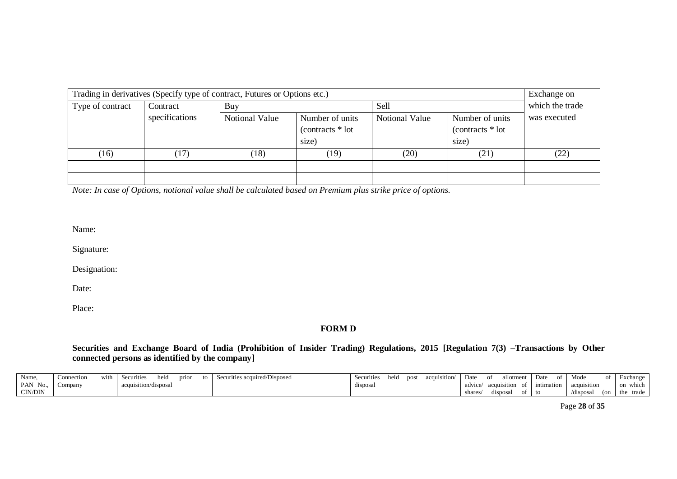|                  | Trading in derivatives (Specify type of contract, Futures or Options etc.)<br>Exchange on |                       |                                                |                       |                                                |              |  |  |  |  |  |
|------------------|-------------------------------------------------------------------------------------------|-----------------------|------------------------------------------------|-----------------------|------------------------------------------------|--------------|--|--|--|--|--|
| Type of contract | Contract                                                                                  | Buy                   |                                                | Sell                  | which the trade                                |              |  |  |  |  |  |
|                  | specifications                                                                            | <b>Notional Value</b> | Number of units<br>$(contrast * lot)$<br>size) | <b>Notional Value</b> | Number of units<br>$(contrast * lot)$<br>size) | was executed |  |  |  |  |  |
| (16)             | (17)                                                                                      | (18)                  | (19)                                           | (20)                  | (21)                                           | (22)         |  |  |  |  |  |
|                  |                                                                                           |                       |                                                |                       |                                                |              |  |  |  |  |  |

*Note: In case of Options, notional value shall be calculated based on Premium plus strike price of options.*

Name:

Signature:

Designation:

Date:

Place:

**FORM D**

**Securities and Exchange Board of India (Prohibition of Insider Trading) Regulations, 2015 [Regulation 7(3) –Transactions by Other connected persons as identified by the company]**

| Name,    | Connection | with | Securities           | held | prior | tΩ | urities acquired/Disposed<br>Secu | Securities | held | post | acquisition/<br>acuv | Date    | allotment   |      | Date       | of | Mode        |             | Exchange     |
|----------|------------|------|----------------------|------|-------|----|-----------------------------------|------------|------|------|----------------------|---------|-------------|------|------------|----|-------------|-------------|--------------|
| PAN No., | Company    |      | acquisition/disposal |      |       |    |                                   | disposal   |      |      |                      | advice/ | acquisition | ot ' | intimation |    | acquisition |             | on which     |
| CIN/DIN  |            |      |                      |      |       |    |                                   |            |      |      |                      | shares  | disposal    | ot.  |            |    | /disposa.   | $\sqrt{2n}$ | trade<br>the |

Page **28** of **35**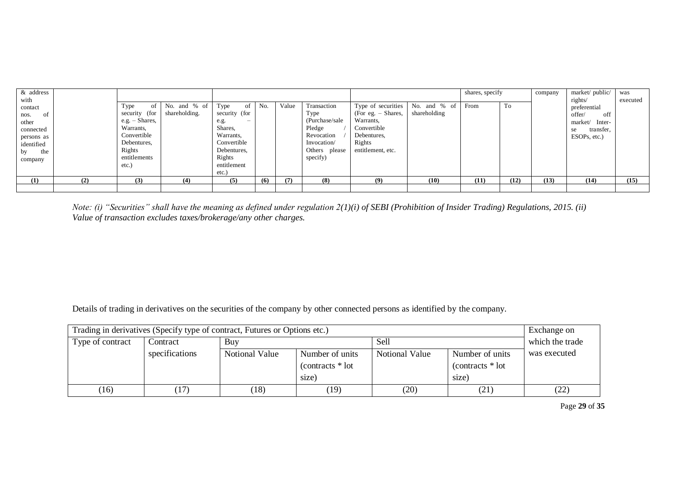| & address<br>with                                                                               |     |                                                                                                                                |                               |                                                                                                                                                           |     |       |                                                                                                            |                                                                                                                    |                              | shares, specify |      | company | market/public/<br>rights/                                                             | was<br>executed |
|-------------------------------------------------------------------------------------------------|-----|--------------------------------------------------------------------------------------------------------------------------------|-------------------------------|-----------------------------------------------------------------------------------------------------------------------------------------------------------|-----|-------|------------------------------------------------------------------------------------------------------------|--------------------------------------------------------------------------------------------------------------------|------------------------------|-----------------|------|---------|---------------------------------------------------------------------------------------|-----------------|
| contact<br>of<br>nos.<br>other<br>connected<br>persons as<br>identified<br>the<br>by<br>company |     | -ot<br>Type<br>security (for<br>$e.g. - Shares,$<br>Warrants,<br>Convertible<br>Debentures,<br>Rights<br>entitlements<br>etc.) | No. and % of<br>shareholding. | Type<br>- of<br>security (for<br>e.g.<br>$\overline{\phantom{m}}$<br>Shares,<br>Warrants,<br>Convertible<br>Debentures,<br>Rights<br>entitlement<br>etc.) | No. | Value | Transaction<br>Type<br>(Purchase/sale)<br>Pledge<br>Revocation<br>Invocation/<br>Others please<br>specify) | Type of securities<br>(For eg. – Shares,<br>Warrants,<br>Convertible<br>Debentures,<br>Rights<br>entitlement, etc. | No. and % of<br>shareholding | From            | To   |         | preferential<br>off<br>offer/<br>market/<br>Inter-<br>se<br>transfer,<br>ESOPs, etc.) |                 |
| (1)                                                                                             | (2) | (3)                                                                                                                            | (4)                           | (5)                                                                                                                                                       | (6) | (7)   | (8)                                                                                                        | (9)                                                                                                                | (10)                         | (11)            | (12) | (13)    | (14)                                                                                  | (15)            |
|                                                                                                 |     |                                                                                                                                |                               |                                                                                                                                                           |     |       |                                                                                                            |                                                                                                                    |                              |                 |      |         |                                                                                       |                 |

*Note: (i) "Securities" shall have the meaning as defined under regulation 2(1)(i) of SEBI (Prohibition of Insider Trading) Regulations, 2015. (ii) Value of transaction excludes taxes/brokerage/any other charges.*

Details of trading in derivatives on the securities of the company by other connected persons as identified by the company.

| Trading in derivatives (Specify type of contract, Futures or Options etc.) |                |                |                    |                       |                    |              |  |  |  |
|----------------------------------------------------------------------------|----------------|----------------|--------------------|-----------------------|--------------------|--------------|--|--|--|
| Type of contract                                                           | Contract       | Buy            | which the trade    |                       |                    |              |  |  |  |
|                                                                            | specifications | Notional Value | Number of units    | <b>Notional Value</b> | Number of units    | was executed |  |  |  |
|                                                                            |                |                | $(contrast * lot)$ |                       | $(contrast * lot)$ |              |  |  |  |
|                                                                            |                |                | size)              |                       | size)              |              |  |  |  |
| (16)                                                                       | (17)           | (18)           | (19)               | (20)                  | (21)               | (22)         |  |  |  |

Page **29** of **35**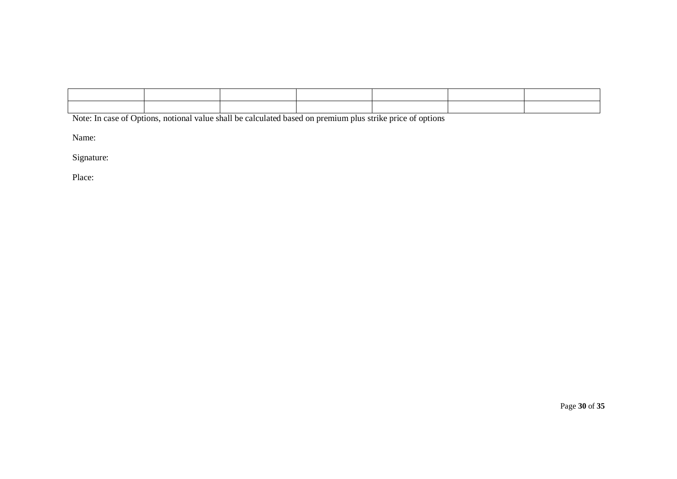Note: In case of Options, notional value shall be calculated based on premium plus strike price of options

Name:

Signature:

Place: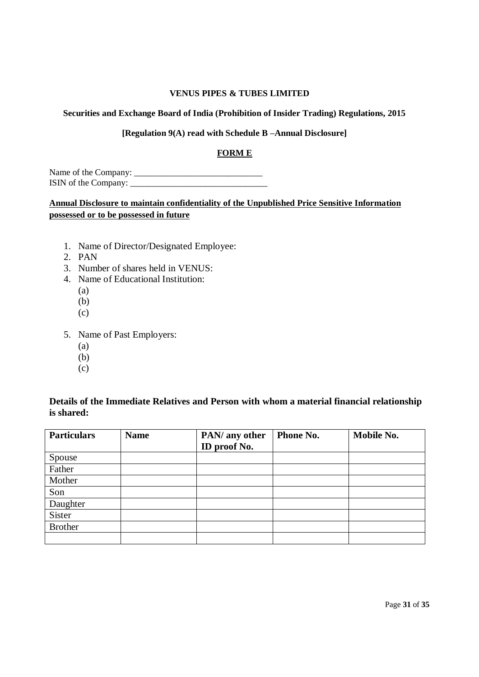#### **Securities and Exchange Board of India (Prohibition of Insider Trading) Regulations, 2015**

### **[Regulation 9(A) read with Schedule B –Annual Disclosure]**

### **FORM E**

Name of the Company: \_\_\_\_\_\_\_\_\_\_\_\_\_\_\_\_\_\_\_\_\_\_\_\_\_\_\_\_\_ ISIN of the Company: \_\_\_\_\_\_\_\_\_\_\_\_\_\_\_\_\_\_\_\_\_\_\_\_\_\_\_\_\_\_\_

## **Annual Disclosure to maintain confidentiality of the Unpublished Price Sensitive Information possessed or to be possessed in future**

- 1. Name of Director/Designated Employee:
- 2. PAN
- 3. Number of shares held in VENUS:
- 4. Name of Educational Institution:
	- (a)
	- (b)
	- (c)
- 5. Name of Past Employers:
	- (a)
	- (b)
	- (c)

## **Details of the Immediate Relatives and Person with whom a material financial relationship is shared:**

| <b>Particulars</b> | <b>Name</b> | PAN/ any other | Phone No. | <b>Mobile No.</b> |
|--------------------|-------------|----------------|-----------|-------------------|
|                    |             | ID proof No.   |           |                   |
| Spouse             |             |                |           |                   |
| Father             |             |                |           |                   |
| Mother             |             |                |           |                   |
| Son                |             |                |           |                   |
| Daughter           |             |                |           |                   |
| Sister             |             |                |           |                   |
| <b>Brother</b>     |             |                |           |                   |
|                    |             |                |           |                   |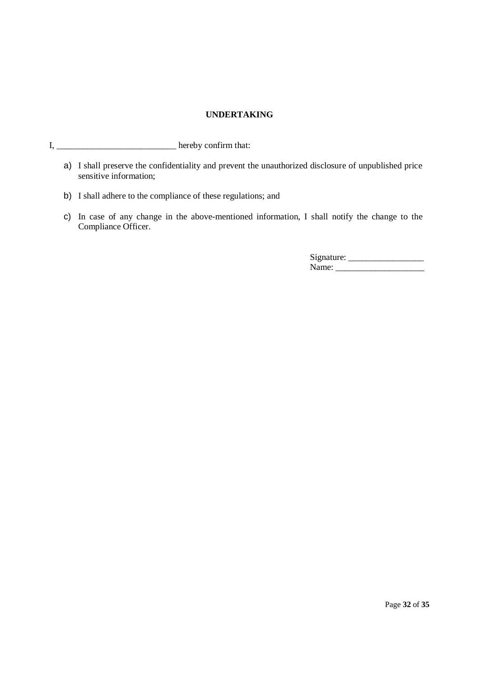#### **UNDERTAKING**

- I, \_\_\_\_\_\_\_\_\_\_\_\_\_\_\_\_\_\_\_\_\_\_\_\_\_\_\_ hereby confirm that:
	- a) I shall preserve the confidentiality and prevent the unauthorized disclosure of unpublished price sensitive information;
	- b) I shall adhere to the compliance of these regulations; and
	- c) In case of any change in the above-mentioned information, I shall notify the change to the Compliance Officer.

Signature: \_\_\_\_\_\_\_\_\_\_\_\_\_\_\_\_\_ Name: \_\_\_\_\_\_\_\_\_\_\_\_\_\_\_\_\_\_\_\_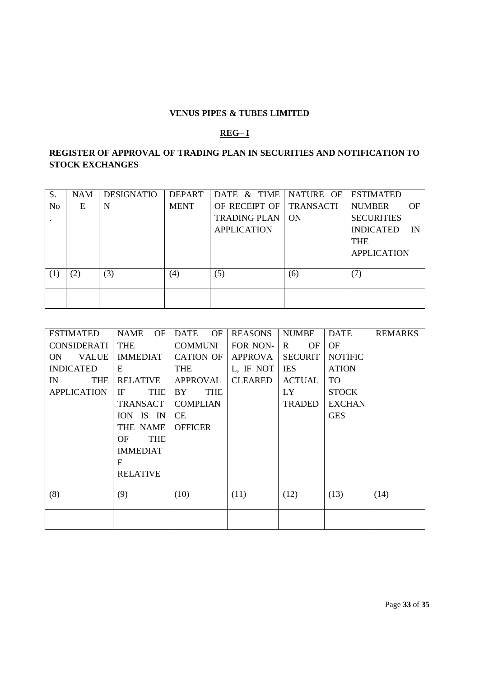### **REG– I**

# **REGISTER OF APPROVAL OF TRADING PLAN IN SECURITIES AND NOTIFICATION TO STOCK EXCHANGES**

| S.             | <b>NAM</b> | <b>DESIGNATIO</b> | <b>DEPART</b> | DATE & TIME NATURE OF   |     | <b>ESTIMATED</b>       |
|----------------|------------|-------------------|---------------|-------------------------|-----|------------------------|
| N <sub>0</sub> | Ε          | N                 | <b>MENT</b>   | OF RECEIPT OF TRANSACTI |     | <b>NUMBER</b><br>OF    |
|                |            |                   |               | <b>TRADING PLAN</b>     | ON  | <b>SECURITIES</b>      |
|                |            |                   |               | <b>APPLICATION</b>      |     | <b>INDICATED</b><br>IN |
|                |            |                   |               |                         |     | <b>THE</b>             |
|                |            |                   |               |                         |     | <b>APPLICATION</b>     |
|                |            |                   |               |                         |     |                        |
| (1)            | (2)        | (3)               | (4)           | (5)                     | (6) |                        |
|                |            |                   |               |                         |     |                        |
|                |            |                   |               |                         |     |                        |
|                |            |                   |               |                         |     |                        |

| <b>ESTIMATED</b>   | OF<br>NAME        | <b>DATE</b><br><b>OF</b> | <b>REASONS</b> | <b>NUMBE</b>       | DATE           | <b>REMARKS</b> |
|--------------------|-------------------|--------------------------|----------------|--------------------|----------------|----------------|
| CONSIDERATI        | THE               | COMMUNI                  | FOR NON-       | $\mathbf{R}$<br>OF | OF             |                |
| VALUE<br>ON        | <b>IMMEDIAT</b>   | <b>CATION OF</b>         | APPROVA        | <b>SECURIT</b>     | <b>NOTIFIC</b> |                |
| <b>INDICATED</b>   | E                 | THE                      | L, IF NOT      | <b>IES</b>         | <b>ATION</b>   |                |
| <b>THE</b><br>IN   | <b>RELATIVE</b>   | <b>APPROVAL</b>          | <b>CLEARED</b> | <b>ACTUAL</b>      | TO             |                |
| <b>APPLICATION</b> | IF<br>THE         | BY<br><b>THE</b>         |                | LY                 | <b>STOCK</b>   |                |
|                    | TRANSACT          | <b>COMPLIAN</b>          |                | <b>TRADED</b>      | <b>EXCHAN</b>  |                |
|                    | ION IS IN         | <b>CE</b>                |                |                    | <b>GES</b>     |                |
|                    | THE NAME          | <b>OFFICER</b>           |                |                    |                |                |
|                    | <b>THE</b><br>OF. |                          |                |                    |                |                |
|                    | <b>IMMEDIAT</b>   |                          |                |                    |                |                |
|                    | E                 |                          |                |                    |                |                |
|                    | <b>RELATIVE</b>   |                          |                |                    |                |                |
|                    |                   |                          |                |                    |                |                |
| (8)                | (9)               | (10)                     | (11)           | (12)               | (13)           | (14)           |
|                    |                   |                          |                |                    |                |                |
|                    |                   |                          |                |                    |                |                |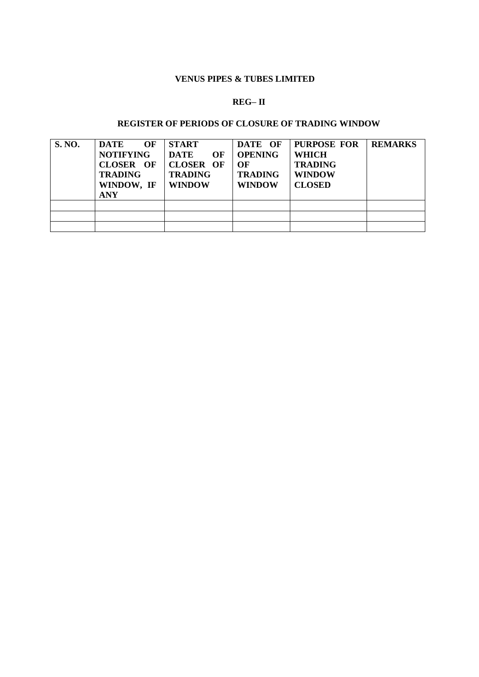# **REG– II**

### **REGISTER OF PERIODS OF CLOSURE OF TRADING WINDOW**

| <b>S. NO.</b> | <b>DATE</b><br>OF<br><b>NOTIFYING</b><br><b>CLOSER OF</b><br><b>TRADING</b><br>WINDOW, IF<br><b>ANY</b> | <b>START</b><br><b>DATE</b><br>OF<br><b>CLOSER OF</b><br><b>TRADING</b><br><b>WINDOW</b> | DATE OF<br><b>OPENING</b><br>OF<br><b>TRADING</b><br><b>WINDOW</b> | <b>PURPOSE FOR</b><br><b>WHICH</b><br><b>TRADING</b><br><b>WINDOW</b><br><b>CLOSED</b> | <b>REMARKS</b> |
|---------------|---------------------------------------------------------------------------------------------------------|------------------------------------------------------------------------------------------|--------------------------------------------------------------------|----------------------------------------------------------------------------------------|----------------|
|               |                                                                                                         |                                                                                          |                                                                    |                                                                                        |                |
|               |                                                                                                         |                                                                                          |                                                                    |                                                                                        |                |
|               |                                                                                                         |                                                                                          |                                                                    |                                                                                        |                |